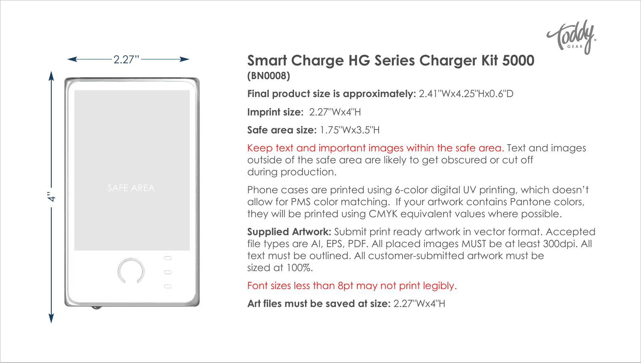



## **Smart Charge HG Series Charger Kit 5000 (BN0008)**

**Final product size is approximately:** 2.41"Wx4.25"Hx0.6"D

**Imprint size:** 2.27"Wx4"H

**Safe area size:** 1.75"Wx3.5"H

Keep text and important images within the safe area. Text and images outside of the safe area are likely to get obscured or cut off during production.

Phone cases are printed using 6-color digital UV printing, which doesn't allow for PMS color matching. If your artwork contains Pantone colors, they will be printed using CMYK equivalent values where possible.

**Supplied Artwork:** Submit print ready artwork in vector format. Accepted file types are AI, EPS, PDF. All placed images MUST be at least 300dpi. All text must be outlined. All customer-submitted artwork must be sized at 100%.

Font sizes less than 8pt may not print legibly.

Art files must be saved at size: 2.27"Wx4"H